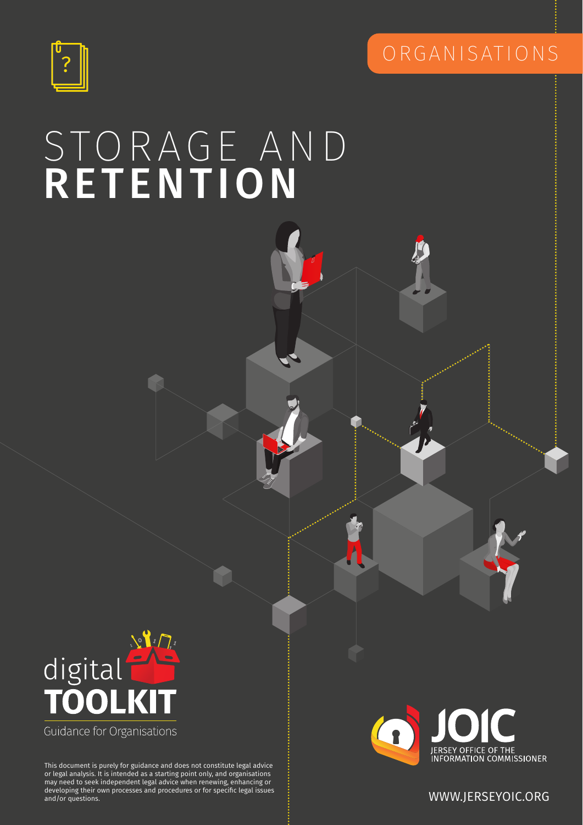

# ORGANISATIONS

# STORAGE AI  $\blacksquare$  The DPJL is based around six principles of 'good information handling'. The set principles give people (the  $\blacksquare$ STORAGE AND RETENTION

Commissioner) is the Chief Executive Officer of the Authority.

2. The Data Protection Authority (Jersey) Law 2018 (AL) establishes the Data Protection Authority (the Authority (which will replace the Office of the Information Commissioner). The Information  $C$ 

3. This is part of a series of guidance to help organisations fully understand their obligations,



may need to seek independent legal advice when renewing, enhancing or<br>developing their own processes and procedures or for specific legal issues This document is purely for guidance and does not constitute legal advice or legal analysis. It is intended as a starting point only, and organisations developing their own processes and procedures or for specific legal issues and/or questions.<br>and/or questions. WWW.JERSEYOIC.ORG

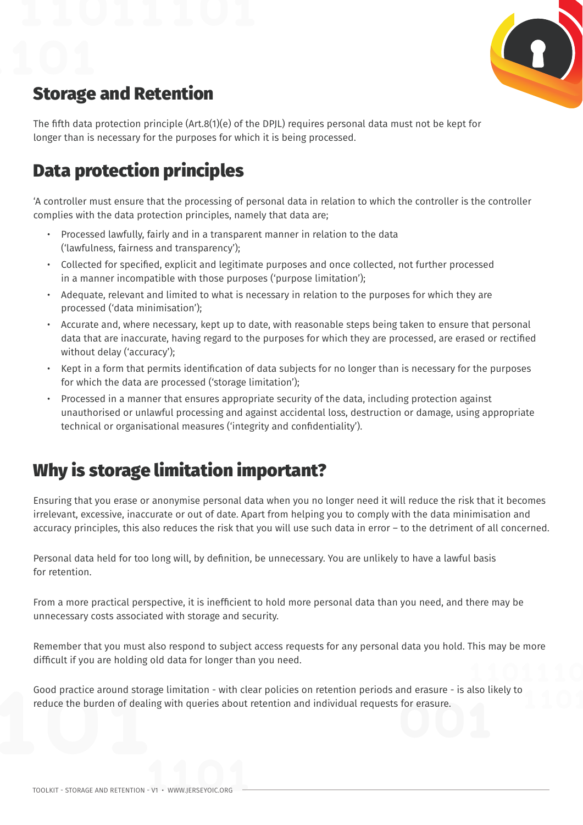

### Storage and Retention

The fifth data protection principle (Art.8(1)(e) of the DPJL) requires personal data must not be kept for longer than is necessary for the purposes for which it is being processed.

## Data protection principles

'A controller must ensure that the processing of personal data in relation to which the controller is the controller complies with the data protection principles, namely that data are;

- Processed lawfully, fairly and in a transparent manner in relation to the data ('lawfulness, fairness and transparency');
- Collected for specified, explicit and legitimate purposes and once collected, not further processed in a manner incompatible with those purposes ('purpose limitation');
- Adequate, relevant and limited to what is necessary in relation to the purposes for which they are processed ('data minimisation');
- Accurate and, where necessary, kept up to date, with reasonable steps being taken to ensure that personal data that are inaccurate, having regard to the purposes for which they are processed, are erased or rectified without delay ('accuracy');
- Kept in a form that permits identification of data subjects for no longer than is necessary for the purposes for which the data are processed ('storage limitation');
- Processed in a manner that ensures appropriate security of the data, including protection against unauthorised or unlawful processing and against accidental loss, destruction or damage, using appropriate technical or organisational measures ('integrity and confidentiality').

## Why is storage limitation important?

Ensuring that you erase or anonymise personal data when you no longer need it will reduce the risk that it becomes irrelevant, excessive, inaccurate or out of date. Apart from helping you to comply with the data minimisation and accuracy principles, this also reduces the risk that you will use such data in error – to the detriment of all concerned.

Personal data held for too long will, by definition, be unnecessary. You are unlikely to have a lawful basis for retention.

From a more practical perspective, it is inefficient to hold more personal data than you need, and there may be unnecessary costs associated with storage and security.

Remember that you must also respond to subject access requests for any personal data you hold. This may be more difficult if you are holding old data for longer than you need.

Good practice around storage limitation - with clear policies on retention periods and erasure - is also likely to reduce the burden of dealing with queries about retention and individual requests for erasure.